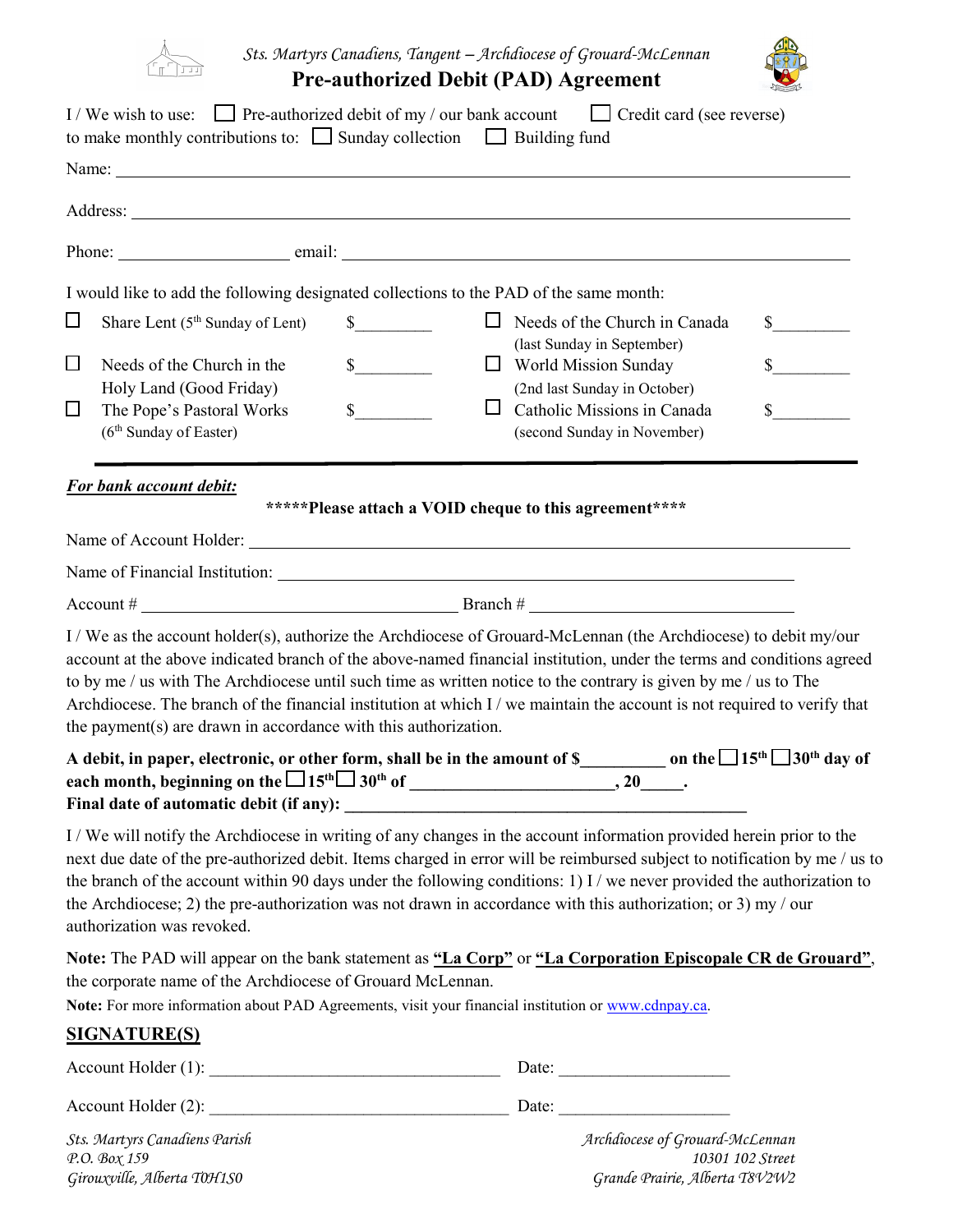

*Sts. Martyrs Canadiens, Tangent – Archdiocese of Grouard-McLennan*

| <b>Pre-authorized Debit (PAD) Agreement</b> |  |  |
|---------------------------------------------|--|--|
|---------------------------------------------|--|--|

|        | I/We wish to use: $\Box$ Pre-authorized debit of my / our bank account<br>to make monthly contributions to: $\Box$ Sunday collection $\Box$ Building fund         |                                                        | Credit card (see reverse)                                                                                                                                                                                                                                                                                                                                                                                                                                                                   |               |
|--------|-------------------------------------------------------------------------------------------------------------------------------------------------------------------|--------------------------------------------------------|---------------------------------------------------------------------------------------------------------------------------------------------------------------------------------------------------------------------------------------------------------------------------------------------------------------------------------------------------------------------------------------------------------------------------------------------------------------------------------------------|---------------|
|        |                                                                                                                                                                   |                                                        |                                                                                                                                                                                                                                                                                                                                                                                                                                                                                             |               |
|        |                                                                                                                                                                   |                                                        |                                                                                                                                                                                                                                                                                                                                                                                                                                                                                             |               |
|        |                                                                                                                                                                   |                                                        |                                                                                                                                                                                                                                                                                                                                                                                                                                                                                             |               |
|        | I would like to add the following designated collections to the PAD of the same month:                                                                            |                                                        |                                                                                                                                                                                                                                                                                                                                                                                                                                                                                             |               |
| $\Box$ | Share Lent $(5th$ Sunday of Lent)                                                                                                                                 | $\mathbb{S}$                                           | $\Box$ Needs of the Church in Canada                                                                                                                                                                                                                                                                                                                                                                                                                                                        | $\frac{1}{2}$ |
| $\Box$ | Needs of the Church in the                                                                                                                                        | s<br>ப                                                 | (last Sunday in September)<br><b>World Mission Sunday</b>                                                                                                                                                                                                                                                                                                                                                                                                                                   | s             |
|        | Holy Land (Good Friday)                                                                                                                                           |                                                        | (2nd last Sunday in October)                                                                                                                                                                                                                                                                                                                                                                                                                                                                |               |
| $\Box$ | The Pope's Pastoral Works                                                                                                                                         | $S_{\perp}$<br>ப                                       | Catholic Missions in Canada                                                                                                                                                                                                                                                                                                                                                                                                                                                                 | $\mathbf S$   |
|        | (6 <sup>th</sup> Sunday of Easter)                                                                                                                                |                                                        | (second Sunday in November)                                                                                                                                                                                                                                                                                                                                                                                                                                                                 |               |
|        | For bank account debit:                                                                                                                                           |                                                        |                                                                                                                                                                                                                                                                                                                                                                                                                                                                                             |               |
|        |                                                                                                                                                                   | *****Please attach a VOID cheque to this agreement**** |                                                                                                                                                                                                                                                                                                                                                                                                                                                                                             |               |
|        |                                                                                                                                                                   |                                                        |                                                                                                                                                                                                                                                                                                                                                                                                                                                                                             |               |
|        |                                                                                                                                                                   |                                                        |                                                                                                                                                                                                                                                                                                                                                                                                                                                                                             |               |
|        |                                                                                                                                                                   |                                                        | Account # $\qquad \qquad \qquad$ Branch # $\qquad \qquad$                                                                                                                                                                                                                                                                                                                                                                                                                                   |               |
|        | the payment(s) are drawn in accordance with this authorization.                                                                                                   |                                                        | I/We as the account holder(s), authorize the Archdiocese of Grouard-McLennan (the Archdiocese) to debit my/our<br>account at the above indicated branch of the above-named financial institution, under the terms and conditions agreed<br>to by me / us with The Archdiocese until such time as written notice to the contrary is given by me / us to The<br>Archdiocese. The branch of the financial institution at which I / we maintain the account is not required to verify that      |               |
|        | Final date of automatic debit (if any):                                                                                                                           |                                                        | A debit, in paper, electronic, or other form, shall be in the amount of \$___________ on the $\Box$ 15 <sup>th</sup> $\Box$ 30 <sup>th</sup> day of                                                                                                                                                                                                                                                                                                                                         |               |
|        | authorization was revoked.                                                                                                                                        |                                                        | I/We will notify the Archdiocese in writing of any changes in the account information provided herein prior to the<br>next due date of the pre-authorized debit. Items charged in error will be reimbursed subject to notification by me / us to<br>the branch of the account within 90 days under the following conditions: 1) I / we never provided the authorization to<br>the Archdiocese; 2) the pre-authorization was not drawn in accordance with this authorization; or 3) my / our |               |
|        | the corporate name of the Archdiocese of Grouard McLennan.<br>Note: For more information about PAD Agreements, visit your financial institution or www.cdnpay.ca. |                                                        | Note: The PAD will appear on the bank statement as "La Corp" or "La Corporation Episcopale CR de Grouard",                                                                                                                                                                                                                                                                                                                                                                                  |               |
|        | <b>SIGNATURE(S)</b>                                                                                                                                               |                                                        |                                                                                                                                                                                                                                                                                                                                                                                                                                                                                             |               |
|        |                                                                                                                                                                   |                                                        |                                                                                                                                                                                                                                                                                                                                                                                                                                                                                             |               |
|        |                                                                                                                                                                   |                                                        |                                                                                                                                                                                                                                                                                                                                                                                                                                                                                             |               |
|        | Sts. Martyrs Canadiens Parish<br>Р.О. Вох 159                                                                                                                     |                                                        | Archdiocese of Grouard-McLennan<br>10301 102 Street                                                                                                                                                                                                                                                                                                                                                                                                                                         |               |

*Girouxville, Alberta T0H1S0 Grande Prairie, Alberta T8V2W2*